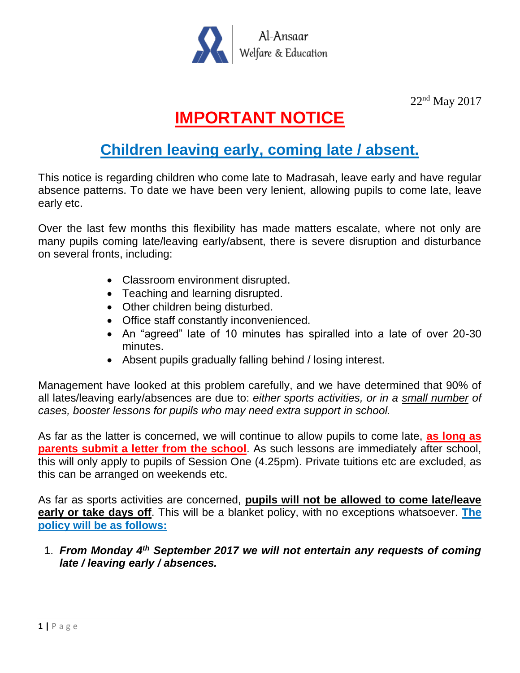

22nd May 2017

## **IMPORTANT NOTICE**

## **Children leaving early, coming late / absent.**

This notice is regarding children who come late to Madrasah, leave early and have regular absence patterns. To date we have been very lenient, allowing pupils to come late, leave early etc.

Over the last few months this flexibility has made matters escalate, where not only are many pupils coming late/leaving early/absent, there is severe disruption and disturbance on several fronts, including:

- Classroom environment disrupted.
- Teaching and learning disrupted.
- Other children being disturbed.
- Office staff constantly inconvenienced.
- An "agreed" late of 10 minutes has spiralled into a late of over 20-30 minutes.
- Absent pupils gradually falling behind / losing interest.

Management have looked at this problem carefully, and we have determined that 90% of all lates/leaving early/absences are due to: *either sports activities, or in a small number of cases, booster lessons for pupils who may need extra support in school.*

As far as the latter is concerned, we will continue to allow pupils to come late, **as long as parents submit a letter from the school**. As such lessons are immediately after school, this will only apply to pupils of Session One (4.25pm). Private tuitions etc are excluded, as this can be arranged on weekends etc.

As far as sports activities are concerned, **pupils will not be allowed to come late/leave early or take days off**. This will be a blanket policy, with no exceptions whatsoever. **The policy will be as follows:**

1. *From Monday 4th September 2017 we will not entertain any requests of coming late / leaving early / absences.*